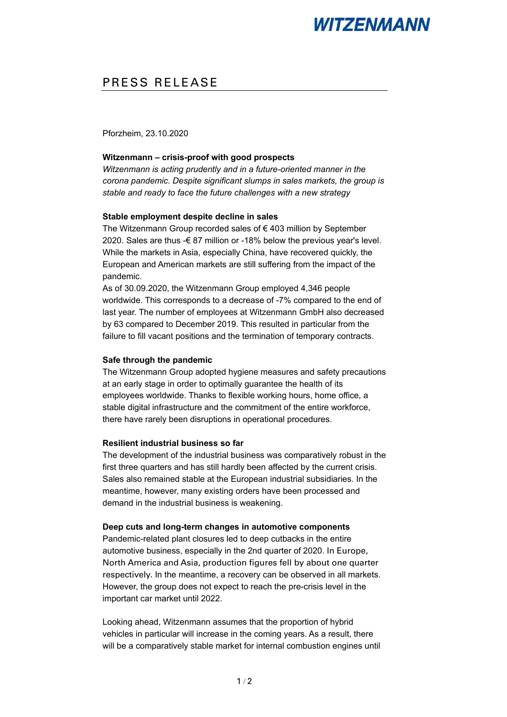# **WITZENMANN**

# PRESS RELEASE

Pforzheim, 23.10.2020

## **Witzenmann – crisis-proof with good prospects**

*Witzenmann is acting prudently and in a future-oriented manner in the corona pandemic. Despite significant slumps in sales markets, the group is stable and ready to face the future challenges with a new strategy*

#### **Stable employment despite decline in sales**

The Witzenmann Group recorded sales of € 403 million by September 2020. Sales are thus -€ 87 million or -18% below the previous year's level. While the markets in Asia, especially China, have recovered quickly, the European and American markets are still suffering from the impact of the pandemic.

As of 30.09.2020, the Witzenmann Group employed 4,346 people worldwide. This corresponds to a decrease of -7% compared to the end of last year. The number of employees at Witzenmann GmbH also decreased by 63 compared to December 2019. This resulted in particular from the failure to fill vacant positions and the termination of temporary contracts.

#### **Safe through the pandemic**

The Witzenmann Group adopted hygiene measures and safety precautions at an early stage in order to optimally guarantee the health of its employees worldwide. Thanks to flexible working hours, home office, a stable digital infrastructure and the commitment of the entire workforce, there have rarely been disruptions in operational procedures.

## **Resilient industrial business so far**

The development of the industrial business was comparatively robust in the first three quarters and has still hardly been affected by the current crisis. Sales also remained stable at the European industrial subsidiaries. In the meantime, however, many existing orders have been processed and demand in the industrial business is weakening.

#### **Deep cuts and long-term changes in automotive components**

Pandemic-related plant closures led to deep cutbacks in the entire automotive business, especially in the 2nd quarter of 2020. In Europe, North America and Asia, production figures fell by about one quarter respectively. In the meantime, a recovery can be observed in all markets. However, the group does not expect to reach the pre-crisis level in the important car market until 2022.

Looking ahead, Witzenmann assumes that the proportion of hybrid vehicles in particular will increase in the coming years. As a result, there will be a comparatively stable market for internal combustion engines until